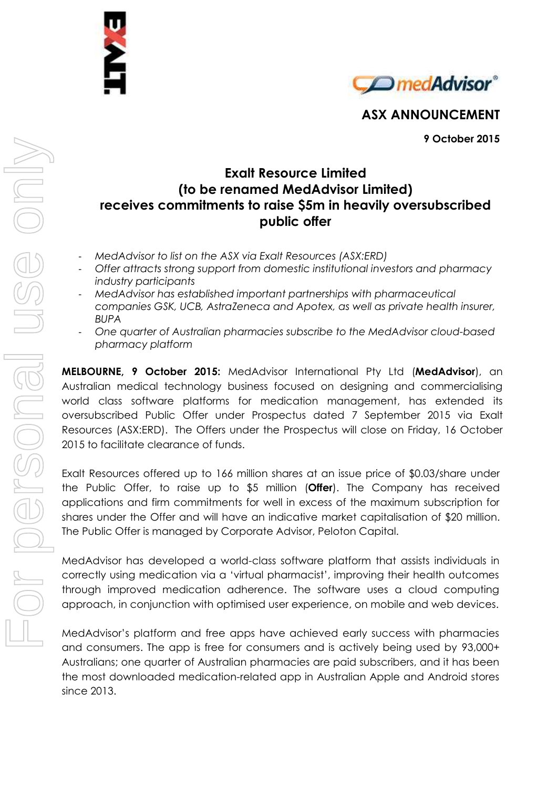



**ASX ANNOUNCEMENT**

**9 October 2015**

## **Exalt Resource Limited (to be renamed MedAdvisor Limited) receives commitments to raise \$5m in heavily oversubscribed public offer**

- *MedAdvisor to list on the ASX via Exalt Resources (ASX:ERD)*
- *Offer attracts strong support from domestic institutional investors and pharmacy industry participants*
- *MedAdvisor has established important partnerships with pharmaceutical companies GSK, UCB, AstraZeneca and Apotex, as well as private health insurer, BUPA*
- *One quarter of Australian pharmacies subscribe to the MedAdvisor cloud-based pharmacy platform*

**MELBOURNE, 9 October 2015:** MedAdvisor International Pty Ltd (**MedAdvisor**), an Australian medical technology business focused on designing and commercialising world class software platforms for medication management, has extended its oversubscribed Public Offer under Prospectus dated 7 September 2015 via Exalt Resources (ASX:ERD). The Offers under the Prospectus will close on Friday, 16 October 2015 to facilitate clearance of funds.

Exalt Resources offered up to 166 million shares at an issue price of \$0.03/share under the Public Offer, to raise up to \$5 million (**Offer**). The Company has received applications and firm commitments for well in excess of the maximum subscription for shares under the Offer and will have an indicative market capitalisation of \$20 million. The Public Offer is managed by Corporate Advisor, Peloton Capital.

MedAdvisor has developed a world-class software platform that assists individuals in correctly using medication via a 'virtual pharmacist', improving their health outcomes through improved medication adherence. The software uses a cloud computing approach, in conjunction with optimised user experience, on mobile and web devices.

MedAdvisor's platform and free apps have achieved early success with pharmacies and consumers. The app is free for consumers and is actively being used by 93,000+ Australians; one quarter of Australian pharmacies are paid subscribers, and it has been the most downloaded medication-related app in Australian Apple and Android stores since 2013.